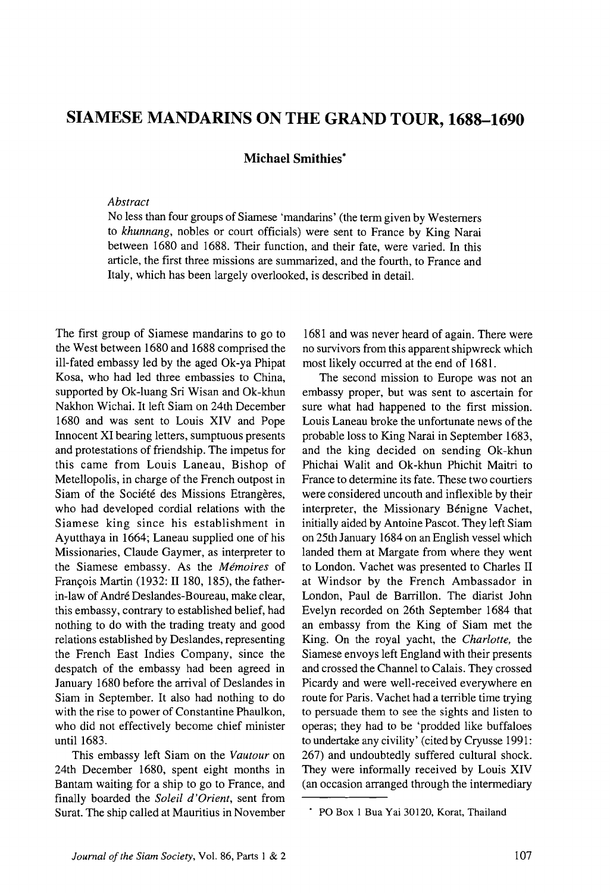# **SIAMESE MANDARINS ON THE GRAND TOUR, 1688-1690**

**Michael Smithies\*** 

### *Abstract*

No less than four groups of Siamese 'mandarins' (the term given by Westerners to *khunnang,* nobles or court officials) were sent to France by King Narai between 1680 and 1688. Their function, and their fate, were varied. In this article, the first three missions are summarized, and the fourth, to France and Italy, which has been largely overlooked, is described in detail.

The first group of Siamese mandarins to go to the West between 1680 and 1688 comprised the ill-fated embassy led by the aged Ok-ya Phipat Kosa, who had led three embassies to China, supported by Ok-luang Sri Wisan and Ok-khun Nakhon Wichai. It left Siam on 24th December 1680 and was sent to Louis XIV and Pope Innocent XI bearing letters, sumptuous presents and protestations of friendship. The impetus for this came from Louis Laneau, Bishop of Metellopolis, in charge of the French outpost in Siam of the Société des Missions Etrangères, who had developed cordial relations with the Siamese king since his establishment in Ayutthaya in 1664; Laneau supplied one of his Missionaries, Claude Gaymer, as interpreter to the Siamese embassy. As the *Memoires* of François Martin (1932: II 180, 185), the fatherin-law of André Deslandes-Boureau, make clear, this embassy, contrary to established belief, had nothing to do with the trading treaty and good relations established by Deslandes, representing the French East Indies Company, since the despatch of the embassy had been agreed in January 1680 before the arrival of Deslandes in Siam in September. It also had nothing to do with the rise to power of Constantine Phaulkon, who did not effectively become chief minister until 1683.

This embassy left Siam on the *Vautour* on 24th December 1680, spent eight months in Bantam waiting for a ship to go to France, and finally boarded the *Solei/ d'Orient,* sent from Surat. The ship called at Mauritius in November

1681 and was never heard of again. There were no survivors from this apparent shipwreck which most likely occurred at the end of 1681.

The second mission to Europe was not an embassy proper, but was sent to ascertain for sure what had happened to the first mission. Louis Laneau broke the unfortunate news of the probable loss to King Narai in September 1683, and the king decided on sending Ok-khun Phichai Walit and Ok-khun Phichit Maitri to France to determine its fate. These two courtiers were considered uncouth and inflexible by their interpreter, the Missionary Benigne Vachet, initially aided by Antoine Pascot. They left Siam on 25th January 1684 on an English vessel which landed them at Margate from where they went to London. Vachet was presented to Charles II at Windsor by the French Ambassador in London, Paul de Barrillon. The diarist John Evelyn recorded on 26th September 1684 that an embassy from the King of Siam met the King. On the royal yacht, the *Charlotte,* the Siamese envoys left England with their presents and crossed the Channel to Calais. They crossed Picardy and were well-received everywhere en route for Paris. Vachet had a terrible time trying to persuade them to see the sights and listen to operas; they had to be 'prodded like buffaloes to undertake any civility' (cited by Cryusse 1991: 267) and undoubtedly suffered cultural shock. They were informally received by Louis XIV (an occasion arranged through the intermediary

<sup>•</sup> PO Box 1 Bua Yai 30120, Korat, Thailand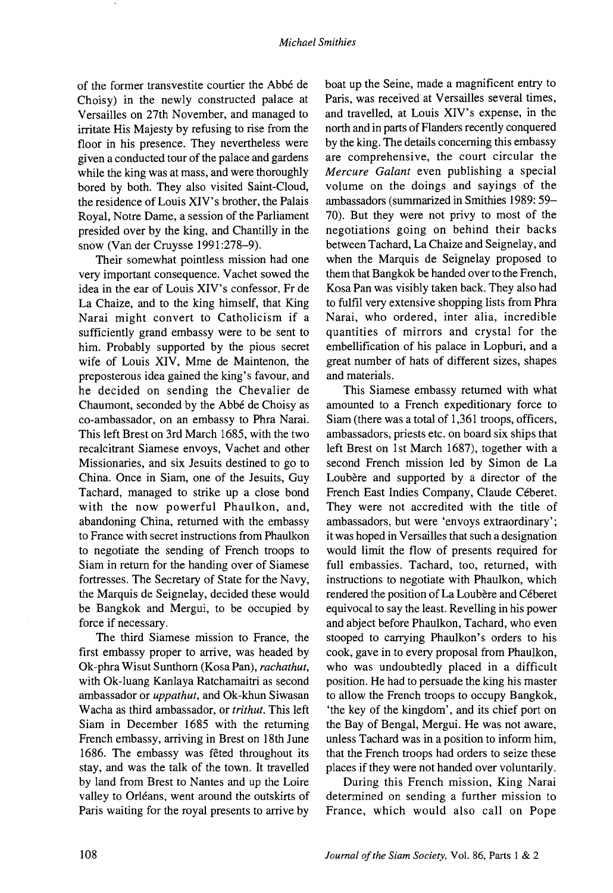of the former transvestite courtier the Abbe de Choisy) in the newly constructed palace at Versailles on 27th November, and managed to irritate His Majesty by refusing to rise from the floor in his presence. They nevertheless were given a conducted tour of the palace and gardens while the king was at mass, and were thoroughly bored by both. They also visited Saint-Cloud, the residence of Louis XIV' s brother, the Palais Royal, Notre Dame, a session of the Parliament presided over by the king, and Chantilly in the snow (Van der Cruysse 1991:278-9).

Their somewhat pointless mission had one very important consequence. Vachet sowed the idea in the ear of Louis XIV's confessor, Fr de La Chaize, and to the king himself, that King Narai might convert to Catholicism if a sufficiently grand embassy were to be sent to him. Probably supported by the pious secret wife of Louis XIV, Mme de Maintenon, the preposterous idea gained the king's favour, and he decided on sending the Chevalier de Chaumont, seconded by the Abbe de Choisy as co-ambassador, on an embassy to Phra Narai. This left Brest on 3rd March 1685, with the two recalcitrant Siamese envoys, Vachet and other Missionaries, and six Jesuits destined to go to China. Once in Siam, one of the Jesuits, Guy Tachard, managed to strike up a close bond with the now powerful Phaulkon, and, abandoning China, returned with the embassy to France with secret instructions from Phaulkon to negotiate the sending of French troops to Siam in return for the handing over of Siamese fortresses. The Secretary of State for the Navy, the Marquis de Seignelay, decided these would be Bangkok and Mergui, to be occupied by force if necessary.

The third Siamese mission to France, the first embassy proper to arrive, was headed by Ok -phra Wisut Sunthorn (Kosa Pan), *rachathut,*  with Ok-luang Kanlaya Ratchamaitri as second ambassador or *uppathut,* and Ok-khun Siwasan Wacha as third ambassador, or *trithut.* This left Siam in December 1685 with the returning French embassy, arriving in Brest on 18th June 1686. The embassy was fêted throughout its stay, and was the talk of the town. It travelled by land from Brest to Nantes and up the Loire valley to Orléans, went around the outskirts of Paris waiting for the royal presents to arrive by

boat up the Seine, made a magnificent entry to Paris, was received at Versailles several times, and travelled, at Louis XIV's expense, in the north and in parts of Flanders recently conquered by the king. The details concerning this embassy are comprehensive, the court circular the *Mercure Galant* even publishing a special volume on the doings and sayings of the ambassadors (summarized in Smithies 1989: 59- 70). But they were not privy to most of the negotiations going on behind their backs between Tachard, La Chaize and Seignelay, and when the Marquis de Seignelay proposed to them that Bangkok be handed over to the French, Kosa Pan was visibly taken back. They also had to fulfil very extensive shopping lists from Phra Narai, who ordered, inter alia, incredible quantities of mirrors and crystal for the embellification of his palace in Lopburi, and a great number of hats of different sizes, shapes and materials.

This Siamese embassy returned with what amounted to a French expeditionary force to Siam (there was a total of 1,361 troops, officers, ambassadors, priests etc. on board six ships that left Brest on 1st March 1687), together with a second French mission led by Simon de La Loubère and supported by a director of the French East Indies Company, Claude Céberet. They were not accredited with the title of ambassadors, but were 'envoys extraordinary'; it was hoped in Versailles that such a designation would limit the flow of presents required for full embassies. Tachard, too, returned, with instructions to negotiate with Phaulkon, which rendered the position of La Loubère and Céberet equivocal to say the least. Revelling in his power and abject before Phaulkon, Tachard, who even stooped to carrying Phaulkon's orders to his cook, gave in to every proposal from Phaulkon, who was undoubtedly placed in a difficult position. He had to persuade the king his master to allow the French troops to occupy Bangkok, 'the key of the kingdom', and its chief port on the Bay of Bengal, Mergui. He was not aware, unless Tachard was in a position to inform him, that the French troops had orders to seize these places if they were not handed over voluntarily.

During this French mission, King Narai determined on sending a further mission to France, which would also call on Pope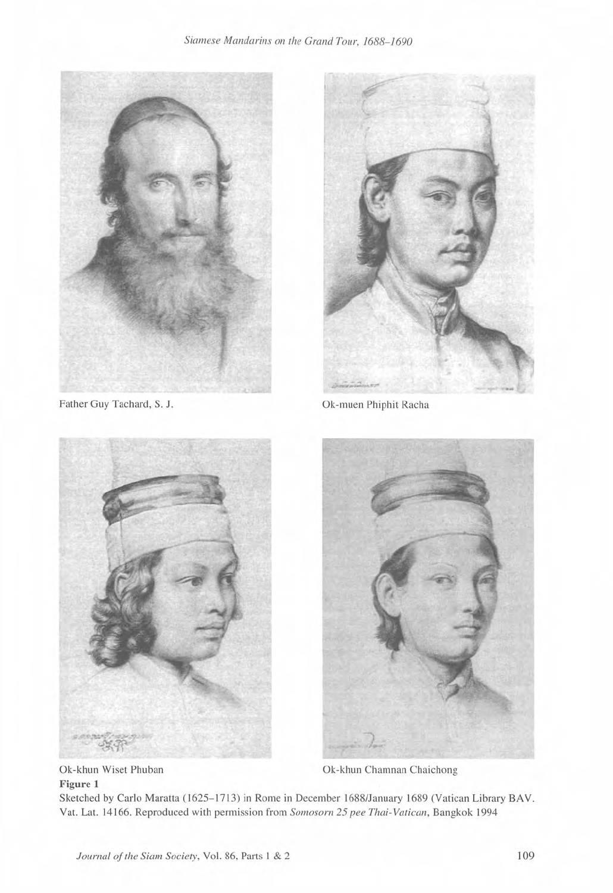

Father Guy Tachard, S. J. Ok-muen Phiphit Racha





**Figure 1** 



Ok-khun Wiset Phuban Ok-khun Chamnan Chaichong

Sketched by Carlo Maratta (1625-1713) in Rome in December 1688/January 1689 (Vatican Library BAV. Vat. Lat. 14166. Reproduced with permission from *Somosorn 25 pee Thai-Vatican,* Bangkok 1994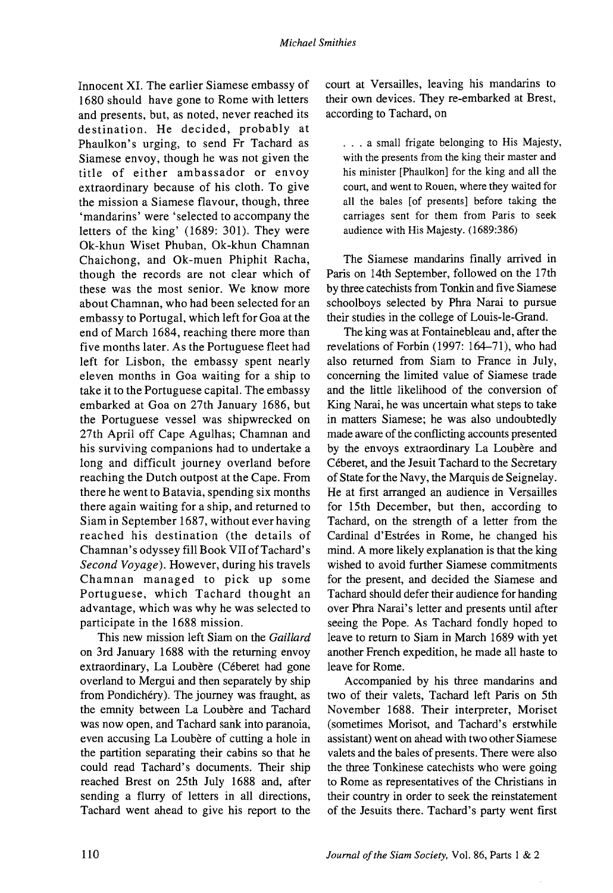Innocent XI. The earlier Siamese embassy of 1680 should have gone to Rome with letters and presents, but, as noted, never reached its destination. He decided, probably at Phaulkon's urging, to send Fr Tachard as Siamese envoy, though he was not given the title of either ambassador or envoy extraordinary because of his cloth. To give the mission a Siamese flavour, though, three 'mandarins' were 'selected to accompany the letters of the king' (1689: 301). They were Ok-khun Wiset Phuban, Ok-khun Chamnan Chaichong, and Ok-muen Phiphit Racha, though the records are not clear which of these was the most senior. We know more about Chamnan, who had been selected for an embassy to Portugal, which left for Goa at the end of March 1684, reaching there more than five months later. As the Portuguese fleet had left for Lisbon, the embassy spent nearly eleven months in Goa waiting for a ship to take it to the Portuguese capital. The embassy embarked at Goa on 27th January 1686, but the Portuguese vessel was shipwrecked on 27th April off Cape Agulhas; Chamnan and his surviving companions had to undertake a long and difficult journey overland before reaching the Dutch outpost at the Cape. From there he went to Batavia, spending six months there again waiting for a ship, and returned to Siam in September 1687, without ever having reached his destination (the details of Chamnan's odyssey fill Book VII ofTachard's *Second Voyage).* However, during his travels Chamnan managed to pick up some Portuguese, which Tachard thought an advantage, which was why he was selected to participate in the 1688 mission.

This new mission left Siam on the *Gaillard*  on 3rd January 1688 with the returning envoy extraordinary, La Loubère (Céberet had gone overland to Mergui and then separately by ship from Pondichéry). The journey was fraught, as the emnity between La Loubere and Tachard was now open, and Tachard sank into paranoia, even accusing La Loubere of cutting a hole in the partition separating their cabins so that he could read Tachard's documents. Their ship reached Brest on 25th July 1688 and, after sending a flurry of letters in all directions, Tachard went ahead to give his report to the

court at Versailles, leaving his mandarins to their own devices. They re-embarked at Brest, according to Tachard, on

... a small frigate belonging to His Majesty, with the presents from the king their master and his minister [Phaulkon] for the king and all the court, and went to Rouen, where they waited for all the bales [of presents] before taking the carriages sent for them from Paris to seek audience with His Majesty. (1689:386)

The Siamese mandarins finally arrived in Paris on 14th September, followed on the 17th by three catechists from Tonkin and five Siamese schoolboys selected by Phra Narai to pursue their studies in the college of Louis-le-Grand.

The king was at Fontainebleau and, after the revelations of Forbin (1997: 164-71), who had also returned from Siam to France in July, concerning the limited value of Siamese trade and the little likelihood of the conversion of King Narai, he was uncertain what steps to take in matters Siamese; he was also undoubtedly made aware of the conflicting accounts presented by the envoys extraordinary La Loubere and Ceberet, and the Jesuit Tachard to the Secretary of State for the Navy, the Marquis de Seignelay. He at first arranged an audience in Versailles for 15th December, but then, according to Tachard, on the strength of a letter from the Cardinal d'Estrées in Rome, he changed his mind. A more likely explanation is that the king wished to avoid further Siamese commitments for the present, and decided the Siamese and Tachard should defer their audience for handing over Phra Narai's letter and presents until after seeing the Pope. As Tachard fondly hoped to leave to return to Siam in March 1689 with yet another French expedition, he made all haste to leave for Rome.

Accompanied by his three mandarins and two of their valets, Tachard left Paris on 5th November 1688. Their interpreter, Moriset (sometimes Morisot, and Tachard's erstwhile assistant) went on ahead with two other Siamese valets and the bales of presents. There were also the three Tonkinese catechists who were going to Rome as representatives of the Christians in their country in order to seek the reinstatement of the Jesuits there. Tachard's party went first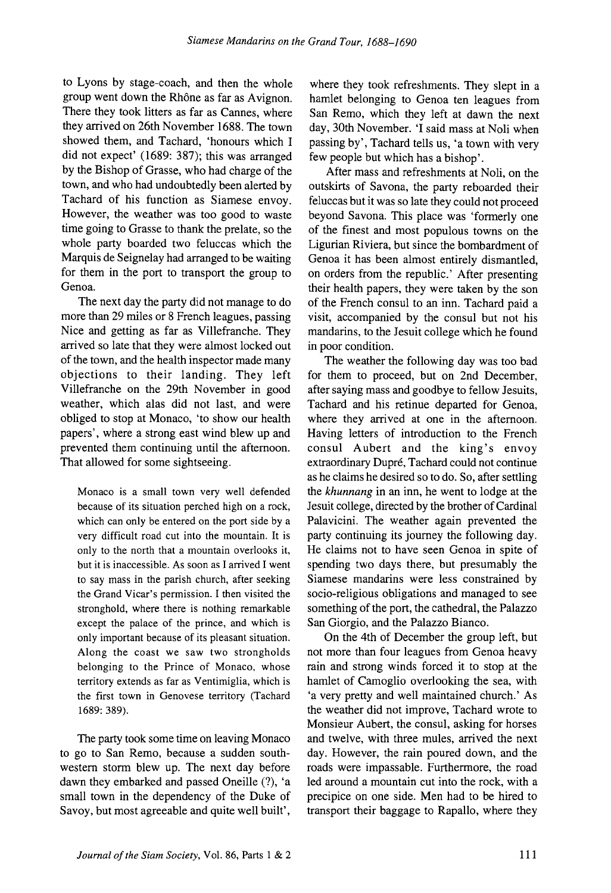to Lyons by stage-coach, and then the whole group went down the Rhône as far as Avignon. There they took litters as far as Cannes, where they arrived on 26th November 1688. The town showed them, and Tachard, 'honours which I did not expect' (1689: 387); this was arranged by the Bishop of Grasse, who had charge of the town, and who had undoubtedly been alerted by Tachard of his function as Siamese envoy. However, the weather was too good to waste time going to Grasse to thank the prelate, so the whole party boarded two feluccas which the Marquis de Seignelay had arranged to be waiting for them in the port to transport the group to Genoa.

The next day the party did not manage to do more than 29 miles or 8 French leagues, passing Nice and getting as far as Villefranche. They arrived so late that they were almost locked out of the town, and the health inspector made many objections to their landing. They left Villefranche on the 29th November in good weather, which alas did not last, and were obliged to stop at Monaco, 'to show our health papers', where a strong east wind blew up and prevented them continuing until the afternoon. That allowed for some sightseeing.

Monaco is a small town very well defended because of its situation perched high on a rock, which can only be entered on the port side by a very difficult road cut into the mountain. It is only to the north that a mountain overlooks it, but it is inaccessible. As soon as I arrived I went to say mass in the parish church, after seeking the Grand Vicar's permission. I then visited the stronghold, where there is nothing remarkable except the palace of the prince, and which is only important because of its pleasant situation. Along the coast we saw two strongholds belonging to the Prince of Monaco, whose territory extends as far as Ventimiglia, which is the first town in Genovese territory (Tachard 1689: 389).

The party took some time on leaving Monaco to go to San Remo, because a sudden southwestern storm blew up. The next day before dawn they embarked and passed Oneille (?), 'a small town in the dependency of the Duke of Savoy, but most agreeable and quite well built',

where they took refreshments. They slept in a hamlet belonging to Genoa ten leagues from San Remo, which they left at dawn the next day, 30th November. 'I said mass at Noli when passing by', Tachard tells us, 'a town with very few people but which has a bishop'.

After mass and refreshments at Noli, on the outskirts of Savona, the party reboarded their feluccas but it was so late they could not proceed beyond Savona. This place was 'formerly one of the finest and most populous towns on the Ligurian Riviera, but since the bombardment of Genoa it has been almost entirely dismantled, on orders from the republic.' After presenting their health papers, they were taken by the son of the French consul to an inn. Tachard paid a visit, accompanied by the consul but not his mandarins, to the Jesuit college which he found in poor condition.

The weather the following day was too bad for them to proceed, but on 2nd December, after saying mass and goodbye to fellow Jesuits, Tachard and his retinue departed for Genoa, where they arrived at one in the afternoon. Having letters of introduction to the French consul Aubert and the king's envoy extraordinary Dupré, Tachard could not continue as he claims he desired so to do. So, after settling the *khunnang* in an inn, he went to lodge at the Jesuit college, directed by the brother of Cardinal Palavicini. The weather again prevented the party continuing its journey the following day. He claims not to have seen Genoa in spite of spending two days there, but presumably the Siamese mandarins were less constrained by socio-religious obligations and managed to see something of the port, the cathedral, the Palazzo San Giorgio, and the Palazzo Bianco.

On the 4th of December the group left, but not more than four leagues from Genoa heavy rain and strong winds forced it to stop at the hamlet of Camoglio overlooking the sea, with 'a very pretty and well maintained church.' As the weather did not improve, Tachard wrote to Monsieur Aubert, the consul, asking for horses and twelve, with three mules, arrived the next day. However, the rain poured down, and the roads were impassable. Furthermore, the road led around a mountain cut into the rock, with a precipice on one side. Men had to be hired to transport their baggage to Rapallo, where they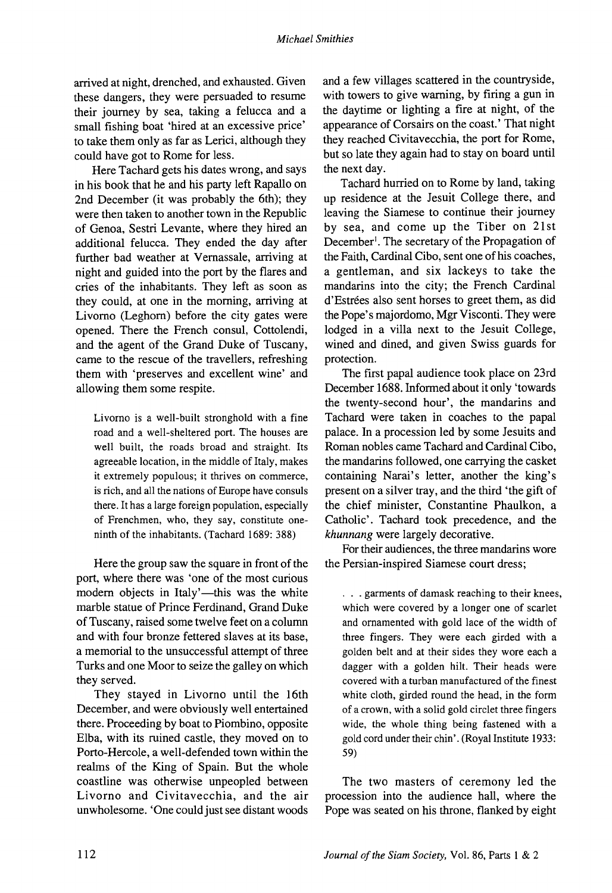#### *Michael Smithies*

arrived at night, drenched, and exhausted. Given these dangers, they were persuaded to resume their journey by sea, taking a felucca and a small fishing boat 'hired at an excessive price' to take them only as far as Lerici, although they could have got to Rome for less.

Here Tachard gets his dates wrong, and says in his book that he and his party left Rapallo on 2nd December (it was probably the 6th); they were then taken to another town in the Republic of Genoa, Sestri Levante, where they hired an additional felucca. They ended the day after further bad weather at Vemassale, arriving at night and guided into the port by the flares and cries of the inhabitants. They left as soon as they could, at one in the morning, arriving at Livomo (Leghorn) before the city gates were opened. There the French consul, Cottolendi, and the agent of the Grand Duke of Tuscany, came to the rescue of the travellers, refreshing them with 'preserves and excellent wine' and allowing them some respite.

Livomo is a well-built stronghold with a fine road and a well-sheltered port. The houses are well built, the roads broad and straight. Its agreeable location, in the middle of Italy, makes it extremely populous; it thrives on commerce, is rich, and all the nations of Europe have consuls there. It has a large foreign population, especially of Frenchmen, who, they say, constitute oneninth of the inhabitants. (Tachard 1689: 388)

Here the group saw the square in front of the port, where there was 'one of the most curious modern objects in Italy'-this was the white marble statue of Prince Ferdinand, Grand Duke of Tuscany, raised some twelve feet on a column and with four bronze fettered slaves at its base, a memorial to the unsuccessful attempt of three Turks and one Moor to seize the galley on which they served.

They stayed in Livorno until the 16th December, and were obviously well entertained there. Proceeding by boat to Piombino, opposite Elba, with its ruined castle, they moved on to Porto-Hercole, a well-defended town within the realms of the King of Spain. But the whole coastline was otherwise unpeopled between Livorno and Civitavecchia, and the air unwholesome. 'One could just see distant woods

and a few villages scattered in the countryside, with towers to give warning, by firing a gun in the daytime or lighting a fire at night, of the appearance of Corsairs on the coast.' That night they reached Civitavecchia, the port for Rome, but so late they again had to stay on board until the next day.

Tachard hurried on to Rome by land, taking up residence at the Jesuit College there, and leaving the Siamese to continue their journey by sea, and come up the Tiber on 21st December<sup>1</sup>. The secretary of the Propagation of the Faith, Cardinal Cibo, sent one of his coaches, a gentleman, and six lackeys to take the mandarins into the city; the French Cardinal d'Estrées also sent horses to greet them, as did the Pope's majordomo, Mgr Visconti. They were lodged in a villa next to the Jesuit College, wined and dined, and given Swiss guards for protection.

The first papal audience took place on 23rd December 1688. Informed about it only 'towards the twenty-second hour', the mandarins and Tachard were taken in coaches to the papal palace. In a procession led by some Jesuits and Roman nobles came Tachard and Cardinal Cibo, the mandarins followed, one carrying the casket containing Narai's letter, another the king's present on a silver tray, and the third 'the gift of the chief minister, Constantine Phaulkon, a Catholic'. Tachard took precedence, and the *khunnang* were largely decorative.

For their audiences, the three mandarins wore the Persian-inspired Siamese court dress;

. . . garments of damask reaching to their knees, which were covered by a longer one of scarlet and ornamented with gold lace of the width of three fingers. They were each girded with a golden belt and at their sides they wore each a dagger with a golden hilt. Their heads were covered with a turban manufactured of the finest white cloth, girded round the head, in the form of a crown, with a solid gold circlet three fingers wide, the whole thing being fastened with a gold cord under their chin'. (Royal Institute 1933: 59)

The two masters of ceremony led the procession into the audience hall, where the Pope was seated on his throne, flanked by eight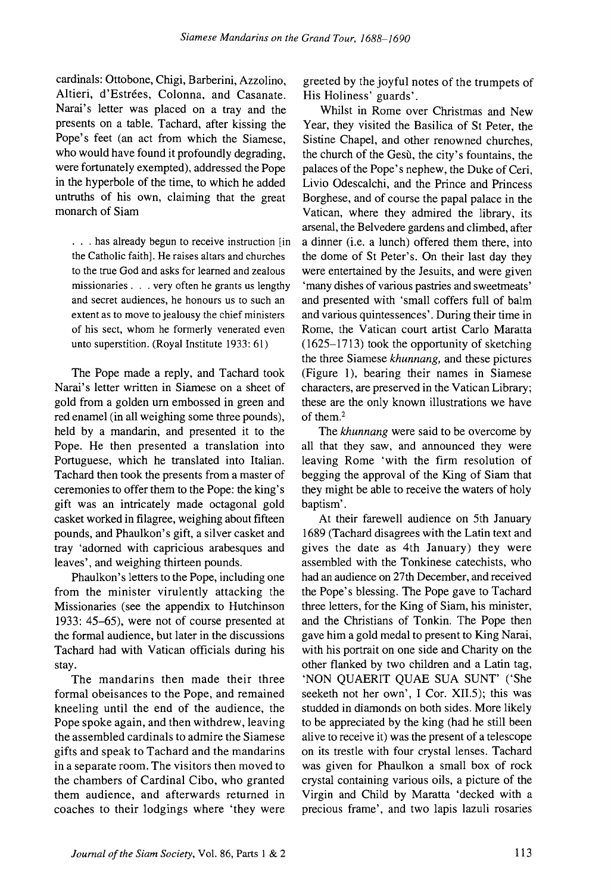cardinals: Ottobone, Chigi, Barberini, Azzolino, Altieri, d'Estrées, Colonna, and Casanate. Narai's letter was placed on a tray and the presents on a table. Tachard, after kissing the Pope's feet (an act from which the Siamese, who would have found it profoundly degrading, were fortunately exempted), addressed the Pope in the hyperbole of the time, to which he added untruths of his own, claiming that the great monarch of Siam

... has already begun to receive instruction [in the Catholic faith]. He raises altars and churches to the true God and asks for learned and zealous missionaries . . . very often he grants us lengthy and secret audiences, he honours us to such an extent as to move to jealousy the chief ministers of his sect, whom he formerly venerated even unto superstition. (Royal Institute 1933: 61)

The Pope made a reply, and Tachard took Narai's letter written in Siamese on a sheet of gold from a golden urn embossed in green and red enamel (in all weighing some three pounds), held by a mandarin, and presented it to the Pope. He then presented a translation into Portuguese, which he translated into Italian. Tachard then took the presents from a master of ceremonies to offer them to the Pope: the king' s gift was an intricately made octagonal gold casket worked in filagree, weighing about fifteen pounds, and Phaulkon's gift, a silver casket and tray 'adorned with capricious arabesques and leaves', and weighing thirteen pounds.

Phaulkon's letters to the Pope, including one from the minister virulently attacking the Missionaries (see the appendix to Hutchinson 1933:  $45-65$ ), were not of course presented at the formal audience, but later in the discussions Tachard had with Vatican officials during his stay.

The mandarins then made their three formal obeisances to the Pope, and remained kneeling until the end of the audience, the Pope spoke again, and then withdrew, leaving the assembled cardinals to admire the Siamese gifts and speak to Tachard and the mandarins in a separate room. The visitors then moved to the chambers of Cardinal Cibo, who granted them audience, and afterwards returned in coaches to their lodgings where 'they were greeted by the joyful notes of the trumpets of His Holiness' guards'.

Whilst in Rome over Christmas and New Year, they visited the Basilica of St Peter, the Sistine Chapel, and other renowned churches, the church of the Gesù, the city's fountains, the palaces of the Pope's nephew, the Duke of Ceri, Livio Odescalchi, and the Prince and Princess Borghese, and of course the papal palace in the Vatican, where they admired the library, its arsenal, the Belvedere gardens and climbed, after a dinner (i.e. a lunch) offered them there, into the dome of St Peter's. On their last day they were entertained by the Jesuits, and were given 'many dishes of various pastries and sweetmeats' and presented with 'small coffers full of balm and various quintessences'. During their time in Rome, the Vatican court artist Carlo Maratta (1625-1713) took the opportunity of sketching the three Siamese *khunnang,* and these pictures (Figure 1), bearing their names in Siamese characters, are preserved in the Vatican Library; these are the only known illustrations we have of them. $2$ 

The *khunnang* were said to be overcome by all that they saw, and announced they were leaving Rome 'with the firm resolution of begging the approval of the King of Siam that they might be able to receive the waters of holy baptism'.

At their farewell audience on 5th January 1689 (Tachard disagrees with the Latin text and gives the date as 4th January) they were assembled with the Tonkinese catechists, who had an audience on 27th December, and received the Pope's blessing. The Pope gave to Tachard three letters, for the King of Siam, his minister, and the Christians of Tonkin. The Pope then gave him a gold medal to present to King Narai, with his portrait on one side and Charity on the other flanked by two children and a Latin tag, 'NON QUAERIT QUAE SUA SUNT' ('She seeketh not her own', I Cor. XII.5); this was studded in diamonds on both sides. More likely to be appreciated by the king (had he still been alive to receive it) was the present of a telescope on its trestle with four crystal lenses. Tachard was given for Phaulkon a small box of rock crystal containing various oils, a picture of the Virgin and Child by Maratta 'decked with a precious frame', and two lapis lazuli rosaries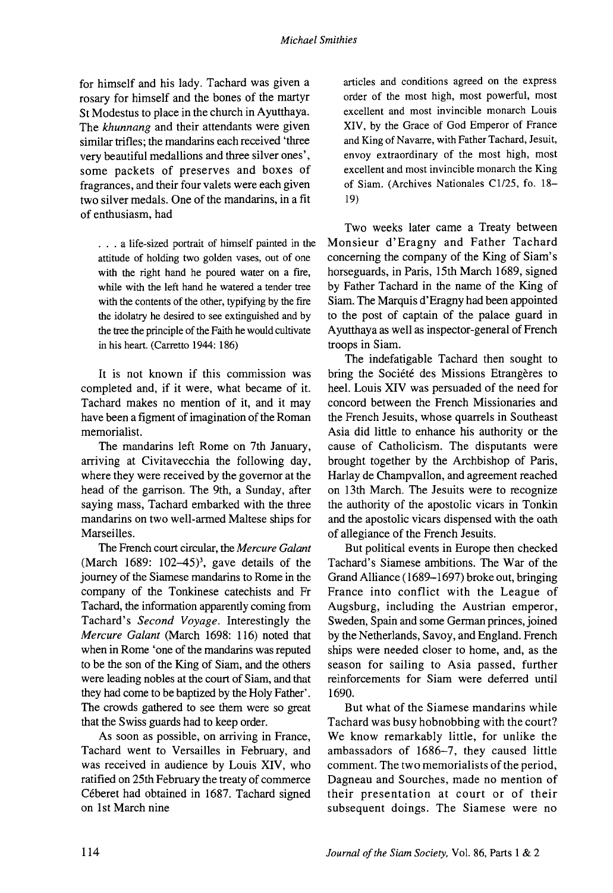for himself and his lady. Tachard was given a rosary for himself and the bones of the martyr St Modestus to place in the church in Ayutthaya. The *khunnang* and their attendants were given similar trifles; the mandarins each received 'three very beautiful medallions and three silver ones', some packets of preserves and boxes of fragrances, and their four valets were each given two silver medals. One of the mandarins, in a fit of enthusiasm, had

. . . a life-sized portrait of himself painted in the attitude of holding two golden vases, out of one with the right hand he poured water on a fire, while with the left hand he watered a tender tree with the contents of the other, typifying by the fire the idolatry he desired to see extinguished and by the tree the principle of the Faith he would cultivate in his heart. (Carretto 1944: 186)

It is not known if this commission was completed and, if it were, what became of it. Tachard makes no mention of it, and it may have been a figment of imagination of the Roman memorialist.

The mandarins left Rome on 7th January, arriving at Civitavecchia the following day, where they were received by the governor at the head of the garrison. The 9th, a Sunday, after saying mass, Tachard embarked with the three mandarins on two well-armed Maltese ships for Marseilles.

The French court circular, the *Mercure Galant*  (March 1689:  $102-45$ )<sup>3</sup>, gave details of the journey of the Siamese mandarins to Rome in the company of the Tonkinese catechists and Fr Tachard, the information apparently coming from Tachard's *Second Voyage.* Interestingly the *Mercure Galant* (March 1698: 116) noted that when in Rome 'one of the mandarins was reputed to be the son of the King of Siam, and the others were leading nobles at the court of Siam, and that they had come to be baptized by the Holy Father'. The crowds gathered to see them were so great that the Swiss guards had to keep order.

As soon as possible, on arriving in France, Tachard went to Versailles in February, and was received in audience by Louis XIV, who ratified on 25th February the treaty of commerce Ceberet had obtained in 1687. Tachard signed on 1st March nine

articles and conditions agreed on the express order of the most high, most powerful, most excellent and most invincible monarch Louis XIV, by the Grace of God Emperor of France and King of Navarre, with Father Tachard, Jesuit, envoy extraordinary of the most high, most excellent and most invincible monarch the King of Siam. (Archives Nationales Cl/25, fo. 18- 19)

Two weeks later came a Treaty between Monsieur d'Eragny and Father Tachard concerning the company of the King of Siam's horseguards, in Paris, 15th March 1689, signed by Father Tachard in the name of the King of Siam. The Marquis d'Eragny had been appointed to the post of captain of the palace guard in Ayutthaya as well as inspector-general of French troops in Siam.

The indefatigable Tachard then sought to bring the Société des Missions Etrangères to heel. Louis XIV was persuaded of the need for concord between the French Missionaries and the French Jesuits, whose quarrels in Southeast Asia did little to enhance his authority or the cause of Catholicism. The disputants were brought together by the Archbishop of Paris, Harlay de Champvallon, and agreement reached on 13th March. The Jesuits were to recognize the authority of the apostolic vicars in Tonkin and the apostolic vicars dispensed with the oath of allegiance of the French Jesuits.

But political events in Europe then checked Tachard's Siamese ambitions. The War of the Grand Alliance ( 1689-1697) broke out, bringing France into conflict with the League of Augsburg, including the Austrian emperor, Sweden, Spain and some German princes, joined by the Netherlands, Savoy, and England. French ships were needed closer to home, and, as the season for sailing to Asia passed, further reinforcements for Siam were deferred until 1690.

But what of the Siamese mandarins while Tachard was busy hobnobbing with the court? We know remarkably little, for unlike the ambassadors of 1686-7, they caused little comment. The two memorialists of the period, Dagneau and Sourches, made no mention of their presentation at court or of their subsequent doings. The Siamese were no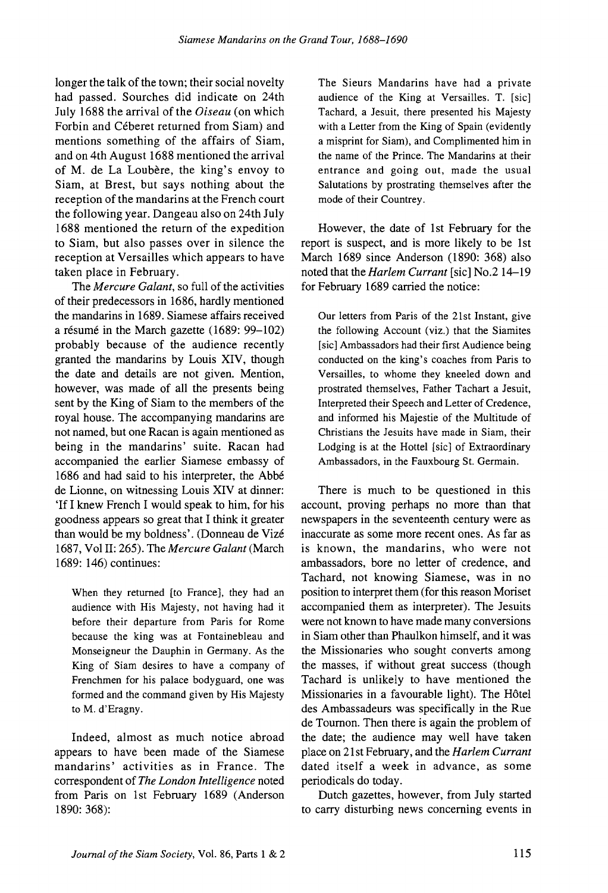longer the talk of the town; their social novelty had passed. Sourches did indicate on 24th July 1688 the arrival of the *Oiseau* (on which Forbin and Céberet returned from Siam) and mentions something of the affairs of Siam, and on 4th August 1688 mentioned the arrival of M. de La Loubere, the king's envoy to Siam, at Brest, but says nothing about the reception of the mandarins at the French court the following year. Dangeau also on 24th July 1688 mentioned the return of the expedition to Siam, but also passes over in silence the reception at Versailles which appears to have taken place in February.

The *Mercure Galant,* so full of the activities of their predecessors in 1686, hardly mentioned the mandarins in 1689. Siamese affairs received a résumé in the March gazette (1689: 99-102) probably because of the audience recently granted the mandarins by Louis XIV, though the date and details are not given. Mention, however, was made of all the presents being sent by the King of Siam to the members of the royal house. The accompanying mandarins are not named, but one Racan is again mentioned as being in the mandarins' suite. Racan had accompanied the earlier Siamese embassy of 1686 and had said to his interpreter, the Abbe de Lionne, on witnessing Louis XIV at dinner: 'Ifl knew French I would speak to him, for his goodness appears so great that I think it greater than would be my boldness'. (Donneau de Vize 1687, Vol II: 265). The *Mercure Galant* (March 1689: 146) continues:

When they returned [to France], they had an audience with His Majesty, not having had it before their departure from Paris for Rome because the king was at Fontainebleau and Monseigneur the Dauphin in Germany. As the King of Siam desires to have a company of Frenchmen for his palace bodyguard, one was formed and the command given by His Majesty toM. d'Eragny.

Indeed, almost as much notice abroad appears to have been made of the Siamese mandarins' activities as in France. The correspondent of *The London Intelligence* noted from Paris on 1st February 1689 (Anderson 1890: 368):

The Sieurs Mandarins have had a private audience of the King at Versailles. T. [sic] Tachard, a Jesuit, there presented his Majesty with a Letter from the King of Spain (evidently a misprint for Siam), and Complimented him in the name of the Prince. The Mandarins at their entrance and going out, made the usual Salutations by prostrating themselves after the mode of their Countrey.

However, the date of 1st February for the report is suspect, and is more likely to be 1st March 1689 since Anderson (1890: 368) also noted that the *Harlem Currant* [sic] No.2 14-19 for February 1689 carried the notice:

Our letters from Paris of the 21st Instant, give the following Account (viz.) that the Siamites [sic] Ambassadors had their first Audience being conducted on the king's coaches from Paris to Versailles, to whome they kneeled down and prostrated themselves, Father Tachart a Jesuit, Interpreted their Speech and Letter of Credence, and informed his Majestie of the Multitude of Christians the Jesuits have made in Siam, their Lodging is at the Hottel [sic] of Extraordinary Ambassadors, in the Fauxbourg St. Germain.

There is much to be questioned in this account, proving perhaps no more than that newspapers in the seventeenth century were as inaccurate as some more recent ones. As far as is known, the mandarins, who were not ambassadors, bore no letter of credence, and Tachard, not knowing Siamese, was in no position to interpret them (for this reason Moriset accompanied them as interpreter). The Jesuits were not known to have made many conversions in Siam other than Phaulkon himself, and it was the Missionaries who sought converts among the masses, if without great success (though Tachard is unlikely to have mentioned the Missionaries in a favourable light). The H6tel des Ambassadeurs was specifically in the Rue de Toumon. Then there is again the problem of the date; the audience may well have taken place on 21st February, and the *Harlem Currant*  dated itself a week in advance, as some periodicals do today.

Dutch gazettes, however, from July started to carry disturbing news concerning events in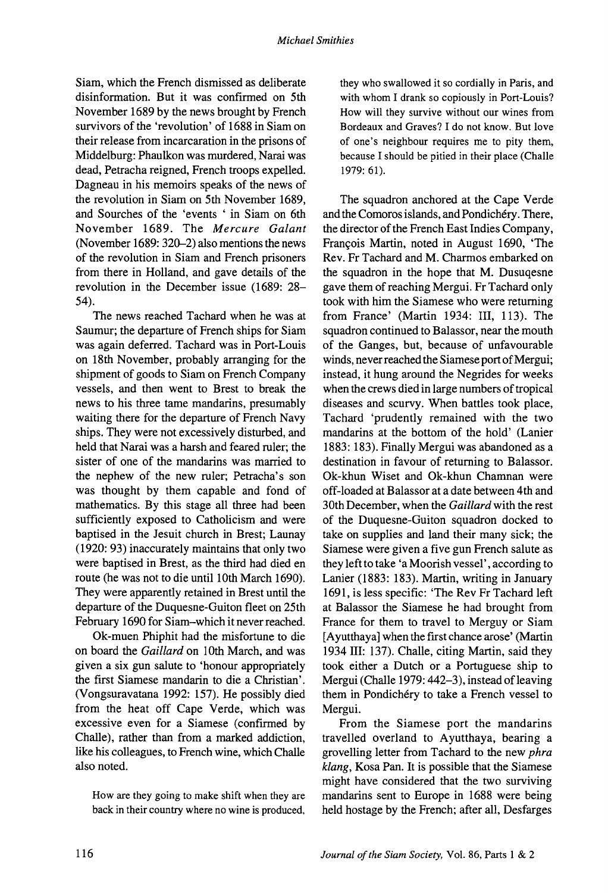Siam, which the French dismissed as deliberate disinformation. But it was confirmed on 5th November 1689 by the news brought by French survivors of the 'revolution' of 1688 in Siam on their release from incarcaration in the prisons of Middelburg: Phaulkon was murdered, Narai was dead, Petracha reigned, French troops expelled. Dagneau in his memoirs speaks of the news of the revolution in Siam on 5th November 1689, and Sourches of the 'events ' in Siam on 6th November 1689. The *Mercure Galant*  (November 1689: 320-2) also mentions the news of the revolution in Siam and French prisoners from there in Holland, and gave details of the revolution in the December issue (1689: 28- 54).

The news reached Tachard when he was at Saumur; the departure of French ships for Siam was again deferred. Tachard was in Port-Louis on 18th November, probably arranging for the shipment of goods to Siam on French Company vessels, and then went to Brest to break the news to his three tame mandarins, presumably waiting there for the departure of French Navy ships. They were not excessively disturbed, and held that Narai was a harsh and feared ruler; the sister of one of the mandarins was married to the nephew of the new ruler; Petracha's son was thought by them capable and fond of mathematics. By this stage all three had been sufficiently exposed to Catholicism and were baptised in the Jesuit church in Brest; Launay (1920: 93) inaccurately maintains that only two were baptised in Brest, as the third had died en route (he was not to die until lOth March 1690). They were apparently retained in Brest until the departure of the Duquesne-Guiton fleet on 25th February 1690 for Siam-which it never reached.

Ok-muen Phiphit had the misfortune to die on board the *Gaillard* on 1Oth March, and was given a six gun salute to 'honour appropriately the first Siamese mandarin to die a Christian'. (Vongsuravatana 1992: 157). He possibly died from the heat off Cape Verde, which was excessive even for a Siamese (confirmed by Challe), rather than from a marked addiction, like his colleagues, to French wine, which Challe also noted.

How are they going to make shift when they are back in their country where no wine is produced, they who swallowed it so cordially in Paris, and with whom I drank so copiously in Port-Louis? How will they survive without our wines from Bordeaux and Graves? I do not know. But love of one's neighbour requires me to pity them, because I should be pitied in their place (Challe 1979: 61).

The squadron anchored at the Cape Verde and the Comoros islands, and Pondichéry. There, the director of the French East Indies Company, François Martin, noted in August 1690, 'The Rev. Fr Tachard and M. Charmos embarked on the squadron in the hope that M. Dusuqesne gave them of reaching Mergui. Fr Tachard only took with him the Siamese who were returning from France' (Martin 1934: III, 113). The squadron continued to Balassor, near the mouth of the Ganges, but, because of unfavourable winds, never reached the Siamese port of Mergui; instead, it hung around the Negrides for weeks when the crews died in large numbers of tropical diseases and scurvy. When battles took place, Tachard 'prudently remained with the two mandarins at the bottom of the hold' (Lanier 1883: 183). Finally Mergui was abandoned as a destination in favour of returning to Balassor. Ok-khun Wiset and Ok-khun Chamnan were off-loaded at Balassor at a date between 4th and 30th December, when the *Gaillard* with the rest of the Duquesne-Guiton squadron docked to take on supplies and land their many sick; the Siamese were given a five gun French salute as they left to take 'a Moorish vessel', according to Lanier (1883: 183). Martin, writing in January 1691, is less specific: 'The Rev Fr Tachard left at Balassor the Siamese he had brought from France for them to travel to Merguy or Siam [Ayutthaya] when the first chance arose' (Martin 1934 III: 137). Challe, citing Martin, said they took either a Dutch or a Portuguese ship to Mergui (Challe 1979: 442–3), instead of leaving them in Pondichéry to take a French vessel to Mergui.

From the Siamese port the mandarins travelled overland to Ayutthaya, bearing a grovelling letter from Tachard to the new *phra klang,* Kosa Pan. It is possible that the Siamese might have considered that the two surviving mandarins sent to Europe in 1688 were being held hostage by the French; after all, Desfarges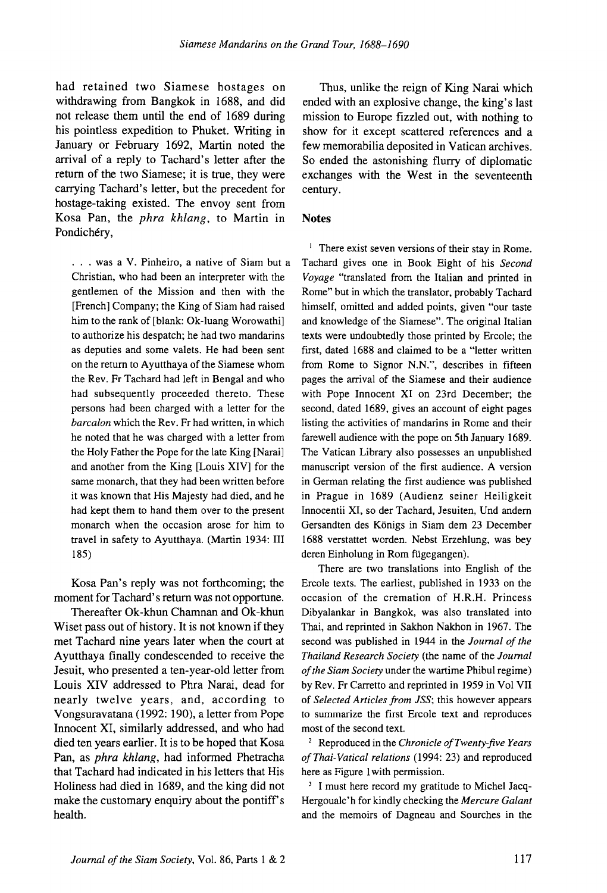had retained two Siamese hostages on withdrawing from Bangkok in 1688, and did not release them until the end of 1689 during his pointless expedition to Phuket. Writing in January or February 1692, Martin noted the arrival of a reply to Tachard's letter after the return of the two Siamese; it is true, they were carrying Tachard's letter, but the precedent for hostage-taking existed. The envoy sent from Kosa Pan, the *phra khlang,* to Martin in Pondichéry,

. . . was a V. Pinheiro, a native of Siam but a Christian, who had been an interpreter with the gentlemen of the Mission and then with the [French] Company; the King of Siam had raised him to the rank of [blank: Ok-Iuang Worowathi] to authorize his despatch; he had two mandarins as deputies and some valets. He had been sent on the return to Ayutthaya of the Siamese whom the Rev. Fr Tachard had left in Bengal and who had subsequently proceeded thereto. These persons had been charged with a letter for the *barcalon* which the Rev. Fr had written, in which he noted that he was charged with a letter from the Holy Father the Pope for the late King [Narai] and another from the King [Louis XIV] for the same monarch, that they had been written before it was known that His Majesty had died, and he had kept them to hand them over to the present monarch when the occasion arose for him to travel in safety to Ayutthaya. (Martin 1934: III 185)

Kosa Pan's reply was not forthcoming; the moment for Tachard' s return was not opportune.

Thereafter Ok-khun Chamnan and Ok-khun Wiset pass out of history. It is not known if they met Tachard nine years later when the court at Ayutthaya finally condescended to receive the Jesuit, who presented a ten-year-old letter from Louis *XN* addressed to Phra Narai, dead for nearly twelve years, and, according to Vongsuravatana (1992: 190), a letter from Pope Innocent XI, similarly addressed, and who had died ten years earlier. It is to be hoped that Kosa Pan, as *phra khlang,* had informed Phetracha that Tachard had indicated in his letters that His Holiness had died in 1689, and the king did not make the customary enquiry about the pontiff's health.

Thus, unlike the reign of King Narai which ended with an explosive change, the king's last mission to Europe fizzled out, with nothing to show for it except scattered references and a few memorabilia deposited in Vatican archives. So ended the astonishing flurry of diplomatic exchanges with the West in the seventeenth century.

#### Notes

<sup>1</sup> There exist seven versions of their stay in Rome. Tachard gives one in Book Eight of his *Second Voyage* "translated from the Italian and printed in Rome" but in which the translator, probably Tachard himself, omitted and added points, given "our taste and knowledge of the Siamese". The original Italian texts were undoubtedly those printed by Ercole; the first, dated 1688 and claimed to be a "letter written from Rome to Signor N.N.", describes in fifteen pages the arrival of the Siamese and their audience with Pope Innocent XI on 23rd December; the second, dated 1689, gives an account of eight pages listing the activities of mandarins in Rome and their farewell audience with the pope on 5th January 1689. The Vatican Library also possesses an unpublished manuscript version of the first audience. A version in German relating the first audience was published in Prague in 1689 (Audienz seiner Heiligkeit Innocentii XI, so der Tachard, Jesuiten, Und andem Gersandten des Königs in Siam dem 23 December 1688 verstattet worden. Nebst Erzehlung, was bey deren Einholung in Rom fiigegangen).

There are two translations into English of the Ercole texts. The earliest, published in 1933 on the occasion of the cremation of H.R.H. Princess Dibyalankar in Bangkok, was also translated into Thai, and reprinted in Sakhon Nakhon in 1967. The second was published in 1944 in the *Journal of the Thailand Research Society* (the name of the *Journal of the Siam Society* under the wartime Phibul regime) by Rev. Fr Carretto and reprinted in 1959 in Vol VII of *Selected Articles from JSS;* this however appears to summarize the first Ercole text and reproduces most of the second text.

2 Reproduced in the *Chronicle ofTwenty-five Years ofThai-Vatical relations* (1994: 23) and reproduced here as Figure 1 with permission.

<sup>3</sup> I must here record my gratitude to Michel Jacq-Hergoualc'h for kindly checking the *Mercure Galant*  and the memoirs of Dagneau and Sourches in the